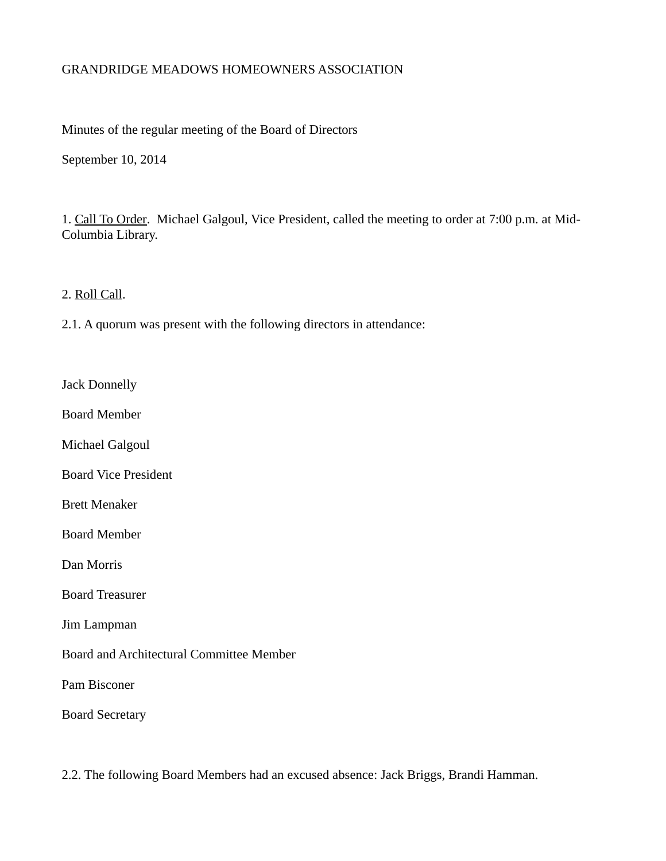# GRANDRIDGE MEADOWS HOMEOWNERS ASSOCIATION

Minutes of the regular meeting of the Board of Directors

September 10, 2014

1. Call To Order. Michael Galgoul, Vice President, called the meeting to order at 7:00 p.m. at Mid-Columbia Library.

2. Roll Call.

2.1. A quorum was present with the following directors in attendance:

Jack Donnelly

Board Member

Michael Galgoul

Board Vice President

Brett Menaker

Board Member

Dan Morris

Board Treasurer

Jim Lampman

Board and Architectural Committee Member

Pam Bisconer

Board Secretary

2.2. The following Board Members had an excused absence: Jack Briggs, Brandi Hamman.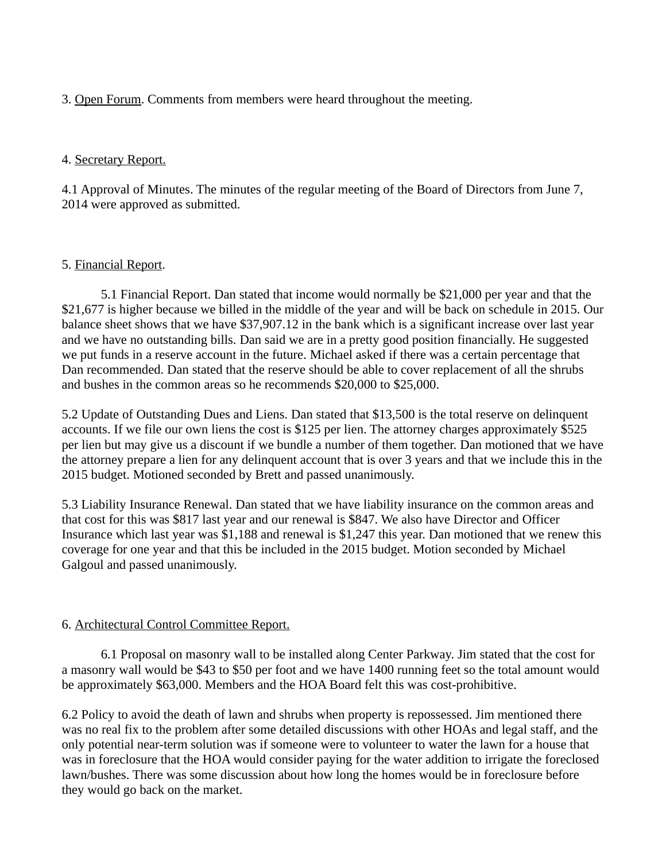### 3. Open Forum. Comments from members were heard throughout the meeting.

### 4. Secretary Report.

4.1 Approval of Minutes. The minutes of the regular meeting of the Board of Directors from June 7, 2014 were approved as submitted.

#### 5. Financial Report.

5.1 Financial Report. Dan stated that income would normally be \$21,000 per year and that the \$21,677 is higher because we billed in the middle of the year and will be back on schedule in 2015. Our balance sheet shows that we have \$37,907.12 in the bank which is a significant increase over last year and we have no outstanding bills. Dan said we are in a pretty good position financially. He suggested we put funds in a reserve account in the future. Michael asked if there was a certain percentage that Dan recommended. Dan stated that the reserve should be able to cover replacement of all the shrubs and bushes in the common areas so he recommends \$20,000 to \$25,000.

5.2 Update of Outstanding Dues and Liens. Dan stated that \$13,500 is the total reserve on delinquent accounts. If we file our own liens the cost is \$125 per lien. The attorney charges approximately \$525 per lien but may give us a discount if we bundle a number of them together. Dan motioned that we have the attorney prepare a lien for any delinquent account that is over 3 years and that we include this in the 2015 budget. Motioned seconded by Brett and passed unanimously.

5.3 Liability Insurance Renewal. Dan stated that we have liability insurance on the common areas and that cost for this was \$817 last year and our renewal is \$847. We also have Director and Officer Insurance which last year was \$1,188 and renewal is \$1,247 this year. Dan motioned that we renew this coverage for one year and that this be included in the 2015 budget. Motion seconded by Michael Galgoul and passed unanimously.

# 6. Architectural Control Committee Report.

6.1 Proposal on masonry wall to be installed along Center Parkway. Jim stated that the cost for a masonry wall would be \$43 to \$50 per foot and we have 1400 running feet so the total amount would be approximately \$63,000. Members and the HOA Board felt this was cost-prohibitive.

6.2 Policy to avoid the death of lawn and shrubs when property is repossessed. Jim mentioned there was no real fix to the problem after some detailed discussions with other HOAs and legal staff, and the only potential near-term solution was if someone were to volunteer to water the lawn for a house that was in foreclosure that the HOA would consider paying for the water addition to irrigate the foreclosed lawn/bushes. There was some discussion about how long the homes would be in foreclosure before they would go back on the market.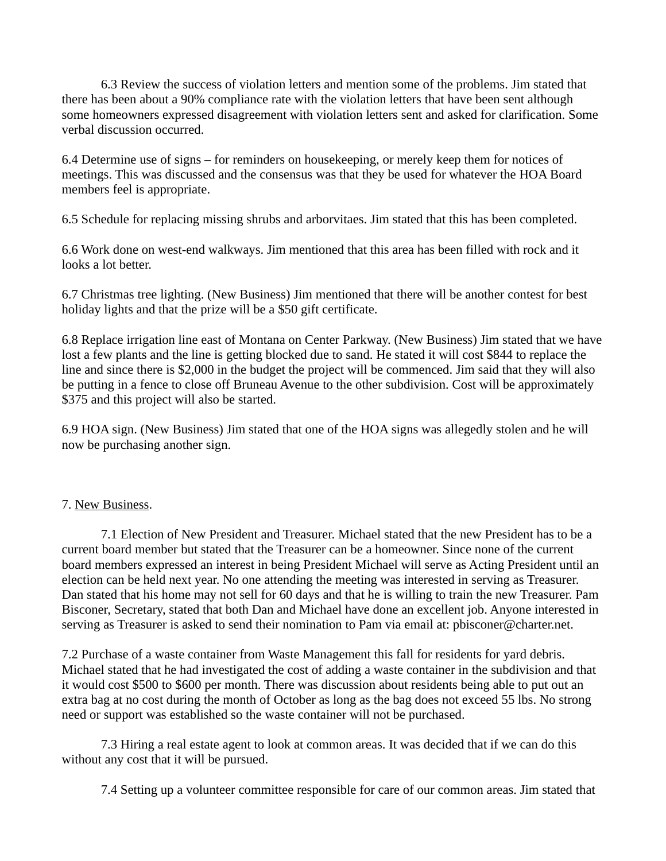6.3 Review the success of violation letters and mention some of the problems. Jim stated that there has been about a 90% compliance rate with the violation letters that have been sent although some homeowners expressed disagreement with violation letters sent and asked for clarification. Some verbal discussion occurred.

6.4 Determine use of signs – for reminders on housekeeping, or merely keep them for notices of meetings. This was discussed and the consensus was that they be used for whatever the HOA Board members feel is appropriate.

6.5 Schedule for replacing missing shrubs and arborvitaes. Jim stated that this has been completed.

6.6 Work done on west-end walkways. Jim mentioned that this area has been filled with rock and it looks a lot better.

6.7 Christmas tree lighting. (New Business) Jim mentioned that there will be another contest for best holiday lights and that the prize will be a \$50 gift certificate.

6.8 Replace irrigation line east of Montana on Center Parkway. (New Business) Jim stated that we have lost a few plants and the line is getting blocked due to sand. He stated it will cost \$844 to replace the line and since there is \$2,000 in the budget the project will be commenced. Jim said that they will also be putting in a fence to close off Bruneau Avenue to the other subdivision. Cost will be approximately \$375 and this project will also be started.

6.9 HOA sign. (New Business) Jim stated that one of the HOA signs was allegedly stolen and he will now be purchasing another sign.

# 7. New Business.

7.1 Election of New President and Treasurer. Michael stated that the new President has to be a current board member but stated that the Treasurer can be a homeowner. Since none of the current board members expressed an interest in being President Michael will serve as Acting President until an election can be held next year. No one attending the meeting was interested in serving as Treasurer. Dan stated that his home may not sell for 60 days and that he is willing to train the new Treasurer. Pam Bisconer, Secretary, stated that both Dan and Michael have done an excellent job. Anyone interested in serving as Treasurer is asked to send their nomination to Pam via email at: pbisconer@charter.net.

7.2 Purchase of a waste container from Waste Management this fall for residents for yard debris. Michael stated that he had investigated the cost of adding a waste container in the subdivision and that it would cost \$500 to \$600 per month. There was discussion about residents being able to put out an extra bag at no cost during the month of October as long as the bag does not exceed 55 lbs. No strong need or support was established so the waste container will not be purchased.

7.3 Hiring a real estate agent to look at common areas. It was decided that if we can do this without any cost that it will be pursued.

7.4 Setting up a volunteer committee responsible for care of our common areas. Jim stated that